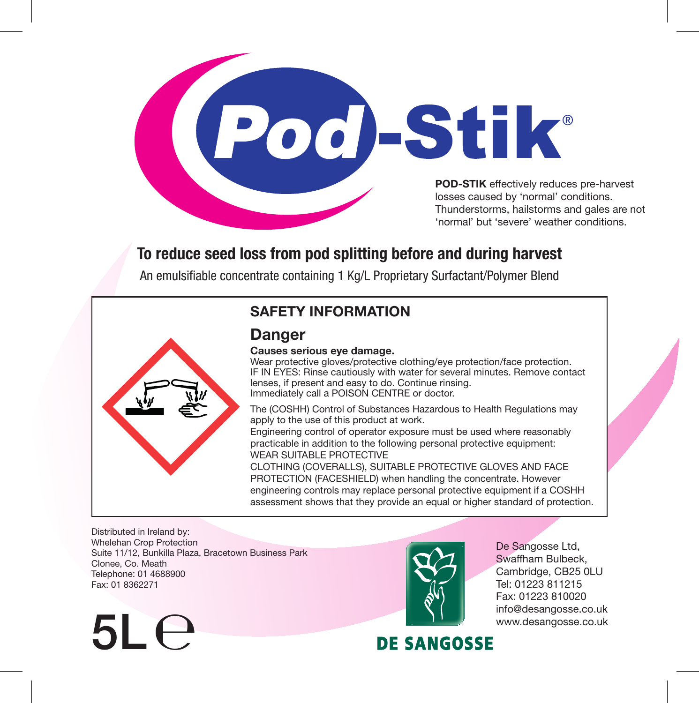

### **To reduce seed loss from pod splitting before and during harvest**

An emulsifiable concentrate containing 1 Kg/L Proprietary Surfactant/Polymer Blend

# SAFETY INFORMATION

#### **Danger**

#### Causes serious eye damage.

Wear protective gloves/protective clothing/eye protection/face protection. IF IN EYES: Rinse cautiously with water for several minutes. Remove contact lenses, if present and easy to do. Continue rinsing. Immediately call a POISON CENTRE or doctor.

The (COSHH) Control of Substances Hazardous to Health Regulations may apply to the use of this product at work.

Engineering control of operator exposure must be used where reasonably practicable in addition to the following personal protective equipment: WEAR SUITABLE PROTECTIVE

CLOTHING (COVERALLS), SUITABLE PROTECTIVE GLOVES AND FACE PROTECTION (FACESHIELD) when handling the concentrate. However engineering controls may replace personal protective equipment if a COSHH assessment shows that they provide an equal or higher standard of protection.

Distributed in Ireland by: Whelehan Crop Protection Suite 11/12, Bunkilla Plaza, Bracetown Business Park Clonee, Co. Meath Telephone: 01 4688900 Fax: 01 8362271

De Sangosse Ltd, Swaffham Bulbeck, Cambridge, CB25 0LU Tel: 01223 811215 Fax: 01223 810020 info@desangosse.co.uk www.desangosse.co.uk

## **DE SANGOSSE**



5 $\overline{E}$